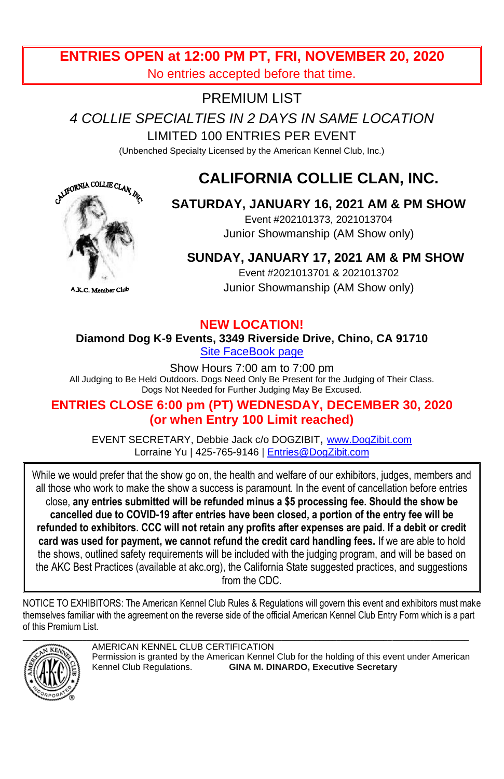# **ENTRIES OPEN at 12:00 PM PT, FRI, NOVEMBER 20, 2020** No entries accepted before that time.

# PREMIUM LIST

*4 COLLIE SPECIALTIES IN 2 DAYS IN SAME LOCATION*

LIMITED 100 ENTRIES PER EVENT

(Unbenched Specialty Licensed by the American Kennel Club, Inc.)

# **CALIFORNIA COLLIE CLAN, INC.**



# **SATURDAY, JANUARY 16, 2021 AM & PM SHOW**

Event #202101373, 2021013704 Junior Showmanship (AM Show only)

# **SUNDAY, JANUARY 17, 2021 AM & PM SHOW**

Event #2021013701 & 2021013702 Junior Showmanship (AM Show only)

.K.C. N

## **NEW LOCATION!**

**Diamond Dog K-9 Events, 3349 Riverside Drive, Chino, CA 91710** [Site FaceBook page](https://m.facebook.com/Diamond-Dogs-K9-Events-1144719635545040/)

Show Hours 7:00 am to 7:00 pm All Judging to Be Held Outdoors. Dogs Need Only Be Present for the Judging of Their Class. Dogs Not Needed for Further Judging May Be Excused.

# **ENTRIES CLOSE 6:00 pm (PT) WEDNESDAY, DECEMBER 30, 2020 (or when Entry 100 Limit reached)**

EVENT SECRETARY, Debbie Jack c/o DOGZIBIT, [www.DogZibit.com](http://www.dogzibit.com/) Lorraine Yu | 425-765-9146 | [Entries@DogZibit.com](mailto:Entries@DogZibit.com)

While we would prefer that the show go on, the health and welfare of our exhibitors, judges, members and all those who work to make the show a success is paramount. In the event of cancellation before entries close, **any entries submitted will be refunded minus a \$5 processing fee. Should the show be cancelled due to COVID-19 after entries have been closed, a portion of the entry fee will be refunded to exhibitors. CCC will not retain any profits after expenses are paid. If a debit or credit card was used for payment, we cannot refund the credit card handling fees.** If we are able to hold the shows, outlined safety requirements will be included with the judging program, and will be based on the AKC Best Practices (available at akc.org), the California State suggested practices, and suggestions from the CDC.

NOTICE TO EXHIBITORS: The American Kennel Club Rules & Regulations will govern this event and exhibitors must make themselves familiar with the agreement on the reverse side of the official American Kennel Club Entry Form which is a part of this Premium List.



AMERICAN KENNEL CLUB CERTIFICATION Permission is granted by the American Kennel Club for the holding of this event under American<br>Kennel Club Regulations. GINA M. DINARDO, Executive Secretary **GINA M. DINARDO, Executive Secretary**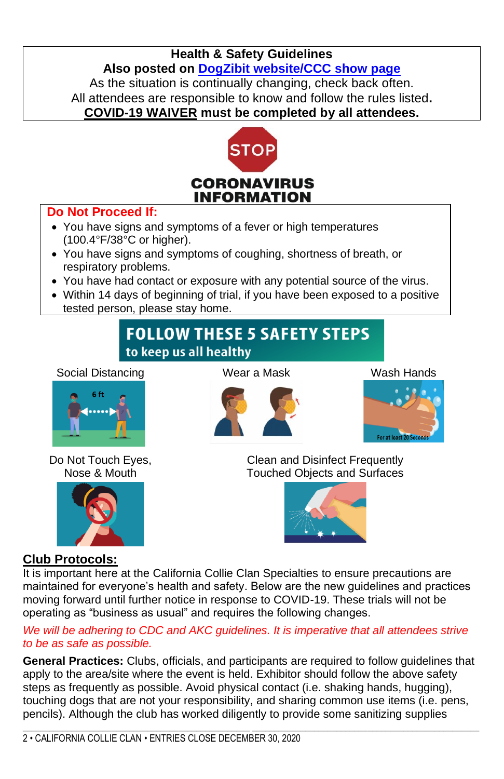# **Health & Safety Guidelines Also posted on [DogZibit website/CCC](https://dogzibit.com/project/2021-ccc/) show page** As the situation is continually changing, check back often. All attendees are responsible to know and follow the rules listed**. COVID-19 WAIVER must be completed by all attendees.**



# **Do Not Proceed If:**

- You have signs and symptoms of a fever or high temperatures (100.4°F/38°C or higher).
- You have signs and symptoms of coughing, shortness of breath, or respiratory problems.
- You have had contact or exposure with any potential source of the virus.
- Within 14 days of beginning of trial, if you have been exposed to a positive tested person, please stay home.

# **FOLLOW THESE 5 SAFETY STEPS** to keep us all healthy

### Social Distancing Wear a Mask Wash Hands



Do Not Touch Eyes, Nose & Mouth







Clean and Disinfect Frequently Touched Objects and Surfaces



# **Club Protocols:**

It is important here at the California Collie Clan Specialties to ensure precautions are maintained for everyone's health and safety. Below are the new guidelines and practices moving forward until further notice in response to COVID-19. These trials will not be operating as "business as usual" and requires the following changes.

*We will be adhering to CDC and AKC guidelines. It is imperative that all attendees strive to be as safe as possible.*

**General Practices:** Clubs, officials, and participants are required to follow guidelines that apply to the area/site where the event is held. Exhibitor should follow the above safety steps as frequently as possible. Avoid physical contact (i.e. shaking hands, hugging), touching dogs that are not your responsibility, and sharing common use items (i.e. pens, pencils). Although the club has worked diligently to provide some sanitizing supplies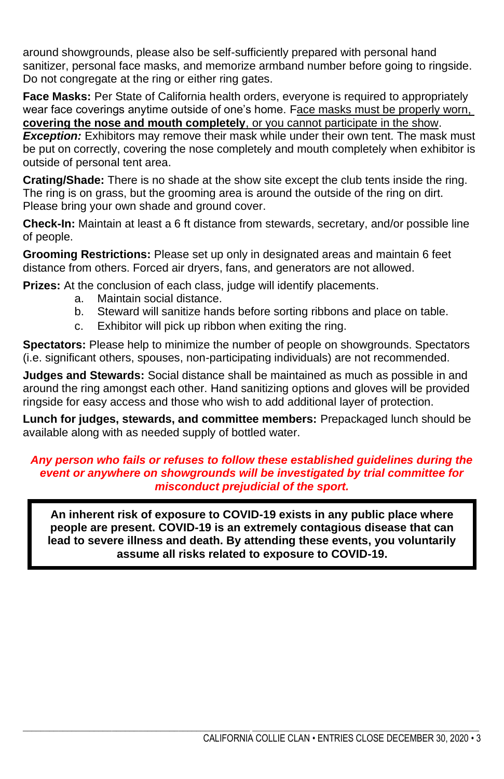around showgrounds, please also be self-sufficiently prepared with personal hand sanitizer, personal face masks, and memorize armband number before going to ringside. Do not congregate at the ring or either ring gates.

**Face Masks:** Per State of California health orders, everyone is required to appropriately wear face coverings anytime outside of one's home. Face masks must be properly worn, **covering the nose and mouth completely**, or you cannot participate in the show.

*Exception:* Exhibitors may remove their mask while under their own tent. The mask must be put on correctly, covering the nose completely and mouth completely when exhibitor is outside of personal tent area.

**Crating/Shade:** There is no shade at the show site except the club tents inside the ring. The ring is on grass, but the grooming area is around the outside of the ring on dirt. Please bring your own shade and ground cover.

**Check-In:** Maintain at least a 6 ft distance from stewards, secretary, and/or possible line of people.

**Grooming Restrictions:** Please set up only in designated areas and maintain 6 feet distance from others. Forced air dryers, fans, and generators are not allowed.

**Prizes:** At the conclusion of each class, judge will identify placements,

- a. Maintain social distance.
- b. Steward will sanitize hands before sorting ribbons and place on table.
- c. Exhibitor will pick up ribbon when exiting the ring.

**Spectators:** Please help to minimize the number of people on showgrounds. Spectators (i.e. significant others, spouses, non-participating individuals) are not recommended.

**Judges and Stewards:** Social distance shall be maintained as much as possible in and around the ring amongst each other. Hand sanitizing options and gloves will be provided ringside for easy access and those who wish to add additional layer of protection.

**Lunch for judges, stewards, and committee members:** Prepackaged lunch should be available along with as needed supply of bottled water.

### *Any person who fails or refuses to follow these established guidelines during the event or anywhere on showgrounds will be investigated by trial committee for misconduct prejudicial of the sport.*

**An inherent risk of exposure to COVID-19 exists in any public place where people are present. COVID-19 is an extremely contagious disease that can lead to severe illness and death. By attending these events, you voluntarily assume all risks related to exposure to COVID-19.**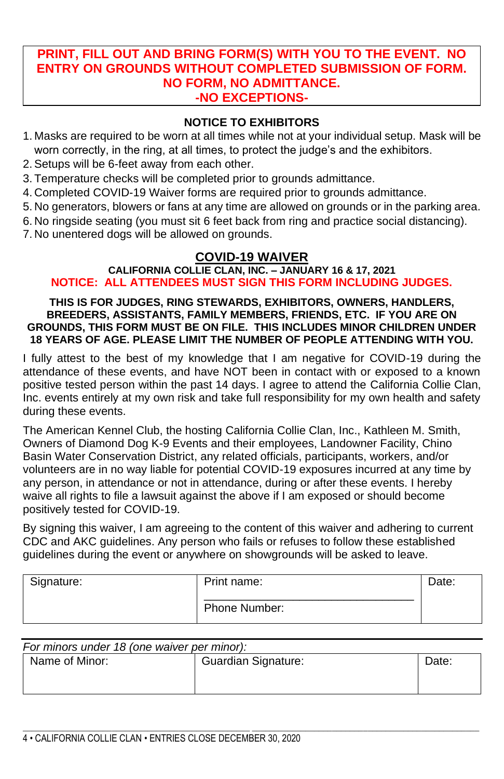## **PRINT, FILL OUT AND BRING FORM(S) WITH YOU TO THE EVENT. NO ENTRY ON GROUNDS WITHOUT COMPLETED SUBMISSION OF FORM. NO FORM, NO ADMITTANCE. -NO EXCEPTIONS-**

## **NOTICE TO EXHIBITORS**

- 1. Masks are required to be worn at all times while not at your individual setup. Mask will be worn correctly, in the ring, at all times, to protect the judge's and the exhibitors.
- 2.Setups will be 6-feet away from each other.
- 3. Temperature checks will be completed prior to grounds admittance.
- 4. Completed COVID-19 Waiver forms are required prior to grounds admittance.
- 5. No generators, blowers or fans at any time are allowed on grounds or in the parking area.
- 6. No ringside seating (you must sit 6 feet back from ring and practice social distancing).
- 7. No unentered dogs will be allowed on grounds.

# **COVID-19 WAIVER**

### **CALIFORNIA COLLIE CLAN, INC. – JANUARY 16 & 17, 2021 NOTICE: ALL ATTENDEES MUST SIGN THIS FORM INCLUDING JUDGES.**

#### **THIS IS FOR JUDGES, RING STEWARDS, EXHIBITORS, OWNERS, HANDLERS, BREEDERS, ASSISTANTS, FAMILY MEMBERS, FRIENDS, ETC. IF YOU ARE ON GROUNDS, THIS FORM MUST BE ON FILE. THIS INCLUDES MINOR CHILDREN UNDER 18 YEARS OF AGE. PLEASE LIMIT THE NUMBER OF PEOPLE ATTENDING WITH YOU.**

I fully attest to the best of my knowledge that I am negative for COVID-19 during the attendance of these events, and have NOT been in contact with or exposed to a known positive tested person within the past 14 days. I agree to attend the California Collie Clan, Inc. events entirely at my own risk and take full responsibility for my own health and safety during these events.

The American Kennel Club, the hosting California Collie Clan, Inc., Kathleen M. Smith, Owners of Diamond Dog K-9 Events and their employees, Landowner Facility, Chino Basin Water Conservation District, any related officials, participants, workers, and/or volunteers are in no way liable for potential COVID-19 exposures incurred at any time by any person, in attendance or not in attendance, during or after these events. I hereby waive all rights to file a lawsuit against the above if I am exposed or should become positively tested for COVID-19.

By signing this waiver, I am agreeing to the content of this waiver and adhering to current CDC and AKC guidelines. Any person who fails or refuses to follow these established guidelines during the event or anywhere on showgrounds will be asked to leave.

| Signature: | Print name:   | Date: |
|------------|---------------|-------|
|            | Phone Number: |       |

| For minors under 18 (one waiver per minor): |                     |       |  |
|---------------------------------------------|---------------------|-------|--|
| Name of Minor:                              | Guardian Signature: | Date: |  |
|                                             |                     |       |  |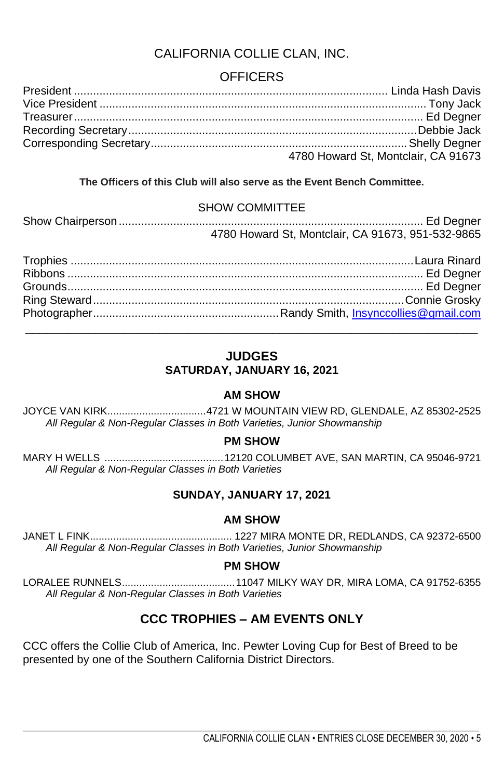# CALIFORNIA COLLIE CLAN, INC.

# **OFFICERS**

| 4780 Howard St, Montclair, CA 91673 |
|-------------------------------------|

### **The Officers of this Club will also serve as the Event Bench Committee.**

#### SHOW COMMITTEE

| 4780 Howard St, Montclair, CA 91673, 951-532-9865 |  |
|---------------------------------------------------|--|

# **JUDGES SATURDAY, JANUARY 16, 2021**

### **AM SHOW**

JOYCE VAN KIRK..................................4721 W MOUNTAIN VIEW RD, GLENDALE, AZ 85302-2525 *All Regular & Non-Regular Classes in Both Varieties, Junior Showmanship*

### **PM SHOW**

MARY H WELLS .........................................12120 COLUMBET AVE, SAN MARTIN, CA 95046-9721 *All Regular & Non-Regular Classes in Both Varieties*

### **SUNDAY, JANUARY 17, 2021**

### **AM SHOW**

JANET L FINK................................................. 1227 MIRA MONTE DR, REDLANDS, CA 92372-6500 *All Regular & Non-Regular Classes in Both Varieties, Junior Showmanship*

#### **PM SHOW**

LORALEE RUNNELS.......................................11047 MILKY WAY DR, MIRA LOMA, CA 91752-6355 *All Regular & Non-Regular Classes in Both Varieties*

# **CCC TROPHIES – AM EVENTS ONLY**

\_\_\_\_\_\_\_\_\_\_\_\_\_\_\_\_\_\_\_\_\_\_\_\_\_\_\_\_\_\_\_\_\_\_\_\_\_\_\_\_\_\_\_\_\_\_\_\_\_\_\_ \_\_\_\_\_\_\_\_\_\_\_\_\_\_\_\_\_\_\_\_\_\_\_\_\_\_\_\_\_\_\_\_\_\_\_\_\_\_\_\_\_\_\_\_\_\_\_\_\_\_\_

CCC offers the Collie Club of America, Inc. Pewter Loving Cup for Best of Breed to be presented by one of the Southern California District Directors.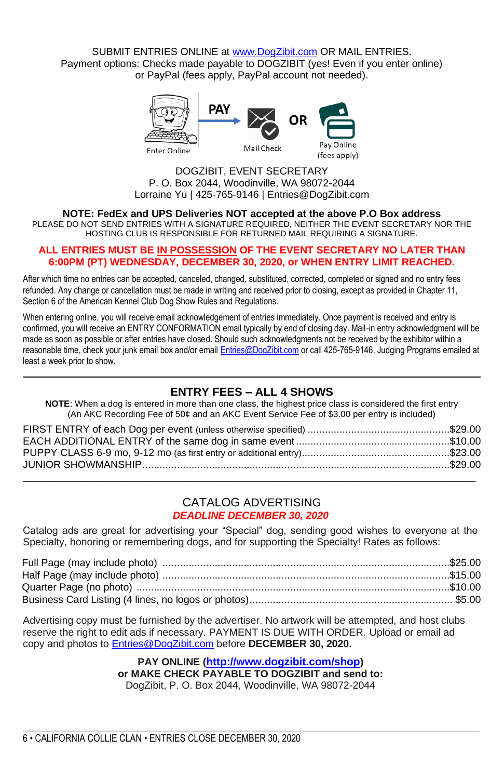SUBMIT ENTRIES ONLINE a[t www.DogZibit.com](http://www.dogzibit.com/) OR MAIL ENTRIES. Payment options: Checks made payable to DOGZIBIT (yes! Even if you enter online) or PayPal (fees apply, PayPal account not needed).



DOGZIBIT, EVENT SECRETARY P. O. Box 2044, Woodinville, WA 98072-2044 Lorraine Yu | 425-765-9146 | Entries@DogZibit.com

**NOTE: FedEx and UPS Deliveries NOT accepted at the above P.O Box address**

PLEASE DO NOT SEND ENTRIES WITH A SIGNATURE REQUIRED, NEITHER THE EVENT SECRETARY NOR THE HOSTING CLUB IS RESPONSIBLE FOR RETURNED MAIL REQUIRING A SIGNATURE.

#### **ALL ENTRIES MUST BE IN POSSESSION OF THE EVENT SECRETARY NO LATER THAN 6:00PM (PT) WEDNESDAY, DECEMBER 30, 2020, or WHEN ENTRY LIMIT REACHED.**

After which time no entries can be accepted, canceled, changed, substituted, corrected, completed or signed and no entry fees refunded. Any change or cancellation must be made in writing and received prior to closing, except as provided in Chapter 11, Section 6 of the American Kennel Club Dog Show Rules and Regulations.

When entering online, you will receive email acknowledgement of entries immediately. Once payment is received and entry is confirmed, you will receive an ENTRY CONFORMATION email typically by end of closing day. Mail-in entry acknowledgment will be made as soon as possible or after entries have closed. Should such acknowledgments not be received by the exhibitor within a reasonable time, check your junk email box and/or emai[l Entries@DogZibit.com](mailto:Entries@DogZibit.com) or call 425-765-9146. Judging Programs emailed at least a week prior to show.

### **ENTRY FEES – ALL 4 SHOWS**

**NOTE**: When a dog is entered in more than one class, the highest price class is considered the first entry (An AKC Recording Fee of 50¢ and an AKC Event Service Fee of \$3.00 per entry is included)

#### CATALOG ADVERTISING *DEADLINE DECEMBER 30, 2020*

Catalog ads are great for advertising your "Special" dog, sending good wishes to everyone at the Specialty, honoring or remembering dogs, and for supporting the Specialty! Rates as follows:

Advertising copy must be furnished by the advertiser. No artwork will be attempted, and host clubs reserve the right to edit ads if necessary. PAYMENT IS DUE WITH ORDER. Upload or email ad copy and photos to [Entries@](mailto:Entries)DogZibit.com before **DECEMBER 30, 2020.**

#### **PAY ONLINE (<http://www.dogzibit.com/shop>)**

**or MAKE CHECK PAYABLE TO DOGZIBIT and send to:**

DogZibit, P. O. Box 2044, Woodinville, WA 98072-2044

\_\_\_\_\_\_\_\_\_\_\_\_\_\_\_\_\_\_\_\_\_\_\_\_\_\_\_\_\_\_\_\_\_\_\_\_\_\_\_\_\_\_\_\_\_\_\_\_\_\_\_ \_\_\_\_\_\_\_\_\_\_\_\_\_\_\_\_\_\_\_\_\_\_\_\_\_\_\_\_\_\_\_\_\_\_\_\_\_\_\_\_\_\_\_\_\_\_\_\_\_\_\_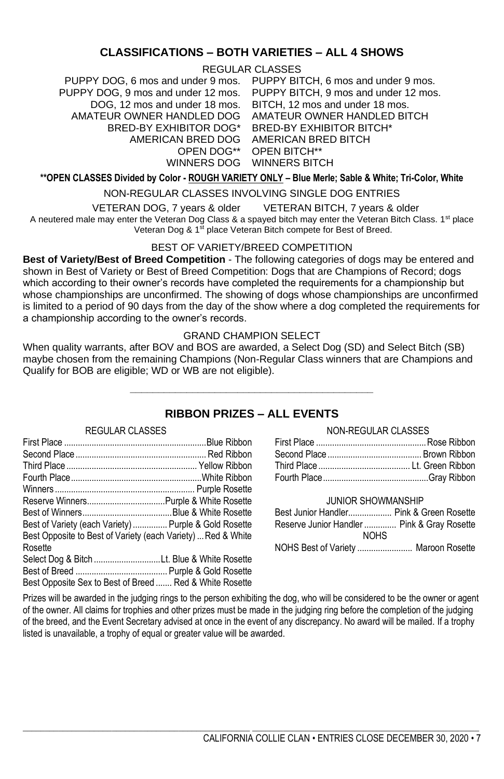### **CLASSIFICATIONS – BOTH VARIETIES – ALL 4 SHOWS**

REGULAR CLASSES

PUPPY DOG, 6 mos and under 9 mos. PUPPY BITCH, 6 mos and under 9 mos. DOG, 12 mos and under 18 mos. AMATEUR OWNER HANDLED DOG AMATEUR OWNER HANDLED BITCH BRED-BY EXHIBITOR DOG\* BRED-BY EXHIBITOR BITCH\* AMERICAN BRED DOG AMERICAN BRED BITCH OPEN DOG\*\*

PUPPY DOG, 9 mos and under 12 mos. PUPPY BITCH, 9 mos and under 12 mos. WINNERS DOG WINNERS BITCH BITCH, 12 mos and under 18 mos. OPEN BITCH\*\*

#### **\*\*OPEN CLASSES Divided by Color - ROUGH VARIETY ONLY – Blue Merle; Sable & White; Tri-Color, White**

#### NON-REGULAR CLASSES INVOLVING SINGLE DOG ENTRIES

VETERAN DOG, 7 years & older VETERAN BITCH, 7 years & older

A neutered male may enter the Veteran Dog Class & a spayed bitch may enter the Veteran Bitch Class. 1<sup>st</sup> place Veteran Dog & 1st place Veteran Bitch compete for Best of Breed.

#### BEST OF VARIETY/BREED COMPETITION

**Best of Variety/Best of Breed Competition** - The following categories of dogs may be entered and shown in Best of Variety or Best of Breed Competition: Dogs that are Champions of Record; dogs which according to their owner's records have completed the requirements for a championship but whose championships are unconfirmed. The showing of dogs whose championships are unconfirmed is limited to a period of 90 days from the day of the show where a dog completed the requirements for a championship according to the owner's records.

#### GRAND CHAMPION SELECT

When quality warrants, after BOV and BOS are awarded, a Select Dog (SD) and Select Bitch (SB) maybe chosen from the remaining Champions (Non-Regular Class winners that are Champions and Qualify for BOB are eligible; WD or WB are not eligible).

# **\_\_\_\_\_\_\_\_\_\_\_\_\_\_\_\_\_\_\_\_\_\_\_\_\_\_\_\_\_\_\_\_\_\_\_\_\_\_\_\_\_\_\_ RIBBON PRIZES – ALL EVENTS**

#### REGULAR CLASSES

| Best of Variety (each Variety)  Purple & Gold Rosette        |  |
|--------------------------------------------------------------|--|
| Best Opposite to Best of Variety (each Variety)  Red & White |  |
| Rosette                                                      |  |
| Select Dog & Bitch Lt. Blue & White Rosette                  |  |
|                                                              |  |
| Best Opposite Sex to Best of Breed  Red & White Rosette      |  |

#### NON-REGULAR CLASSES

#### JUNIOR SHOWMANSHIP

| Best Junior Handler Pink & Green Rosette    |  |
|---------------------------------------------|--|
| Reserve Junior Handler  Pink & Gray Rosette |  |
| <b>NOHS</b>                                 |  |
|                                             |  |

Prizes will be awarded in the judging rings to the person exhibiting the dog, who will be considered to be the owner or agent of the owner. All claims for trophies and other prizes must be made in the judging ring before the completion of the judging of the breed, and the Event Secretary advised at once in the event of any discrepancy. No award will be mailed. If a trophy listed is unavailable, a trophy of equal or greater value will be awarded.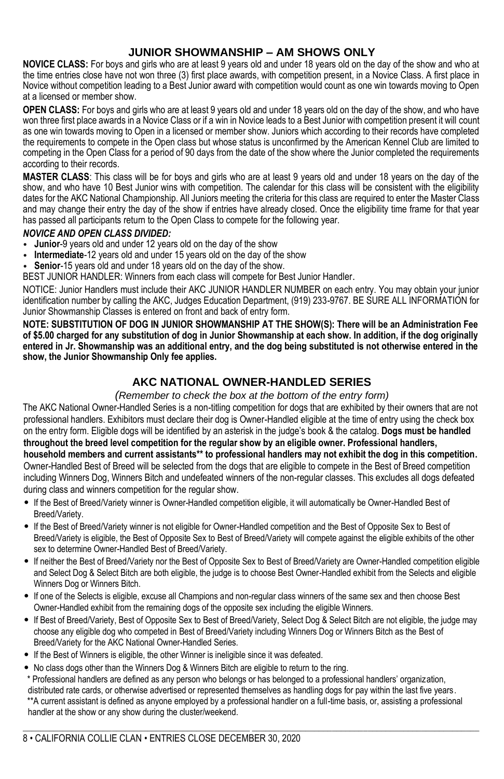### **JUNIOR SHOWMANSHIP – AM SHOWS ONLY**

**NOVICE CLASS:** For boys and girls who are at least 9 years old and under 18 years old on the day of the show and who at the time entries close have not won three (3) first place awards, with competition present, in a Novice Class. A first place in Novice without competition leading to a Best Junior award with competition would count as one win towards moving to Open at a licensed or member show.

**OPEN CLASS:** For boys and girls who are at least 9 years old and under 18 years old on the day of the show, and who have won three first place awards in a Novice Class or if a win in Novice leads to a Best Junior with competition present it will count as one win towards moving to Open in a licensed or member show. Juniors which according to their records have completed the requirements to compete in the Open class but whose status is unconfirmed by the American Kennel Club are limited to competing in the Open Class for a period of 90 days from the date of the show where the Junior completed the requirements according to their records.

**MASTER CLASS**: This class will be for boys and girls who are at least 9 years old and under 18 years on the day of the show, and who have 10 Best Junior wins with competition. The calendar for this class will be consistent with the eligibility dates for the AKC National Championship. All Juniors meeting the criteria for this class are required to enter the Master Class and may change their entry the day of the show if entries have already closed. Once the eligibility time frame for that year has passed all participants return to the Open Class to compete for the following year.

#### *NOVICE AND OPEN CLASS DIVIDED:*

- **Junior**-9 years old and under 12 years old on the day of the show
- **Intermediate**-12 years old and under 15 years old on the day of the show
- **Senior**-15 years old and under 18 years old on the day of the show.

BEST JUNIOR HANDLER: Winners from each class will compete for Best Junior Handler.

NOTICE: Junior Handlers must include their AKC JUNIOR HANDLER NUMBER on each entry. You may obtain your junior identification number by calling the AKC, Judges Education Department, (919) 233-9767. BE SURE ALL INFORMATION for Junior Showmanship Classes is entered on front and back of entry form.

**NOTE: SUBSTITUTION OF DOG IN JUNIOR SHOWMANSHIP AT THE SHOW(S): There will be an Administration Fee of \$5.00 charged for any substitution of dog in Junior Showmanship at each show. In addition, if the dog originally entered in Jr. Showmanship was an additional entry, and the dog being substituted is not otherwise entered in the show, the Junior Showmanship Only fee applies.**

### **AKC NATIONAL OWNER-HANDLED SERIES**

#### *(Remember to check the box at the bottom of the entry form)*

The AKC National Owner-Handled Series is a non-titling competition for dogs that are exhibited by their owners that are not professional handlers. Exhibitors must declare their dog is Owner-Handled eligible at the time of entry using the check box on the entry form. Eligible dogs will be identified by an asterisk in the judge's book & the catalog. **Dogs must be handled throughout the breed level competition for the regular show by an eligible owner. Professional handlers, household members and current assistants\*\* to professional handlers may not exhibit the dog in this competition.**  Owner-Handled Best of Breed will be selected from the dogs that are eligible to compete in the Best of Breed competition including Winners Dog, Winners Bitch and undefeated winners of the non-regular classes. This excludes all dogs defeated during class and winners competition for the regular show.

- If the Best of Breed/Variety winner is Owner-Handled competition eligible, it will automatically be Owner-Handled Best of Breed/Variety.
- If the Best of Breed/Variety winner is not eligible for Owner-Handled competition and the Best of Opposite Sex to Best of Breed/Variety is eligible, the Best of Opposite Sex to Best of Breed/Variety will compete against the eligible exhibits of the other sex to determine Owner-Handled Best of Breed/Variety.
- If neither the Best of Breed/Variety nor the Best of Opposite Sex to Best of Breed/Variety are Owner-Handled competition eligible and Select Dog & Select Bitch are both eligible, the judge is to choose Best Owner-Handled exhibit from the Selects and eligible Winners Dog or Winners Bitch.
- If one of the Selects is eligible, excuse all Champions and non-regular class winners of the same sex and then choose Best Owner-Handled exhibit from the remaining dogs of the opposite sex including the eligible Winners.
- If Best of Breed/Variety, Best of Opposite Sex to Best of Breed/Variety, Select Dog & Select Bitch are not eligible, the judge may choose any eligible dog who competed in Best of Breed/Variety including Winners Dog or Winners Bitch as the Best of Breed/Variety for the AKC National Owner-Handled Series.
- If the Best of Winners is eligible, the other Winner is ineligible since it was defeated.
- No class dogs other than the Winners Dog & Winners Bitch are eligible to return to the ring.

Professional handlers are defined as any person who belongs or has belonged to a professional handlers' organization, distributed rate cards, or otherwise advertised or represented themselves as handling dogs for pay within the last five years. \*\*A current assistant is defined as anyone employed by a professional handler on a full-time basis, or, assisting a professional handler at the show or any show during the cluster/weekend.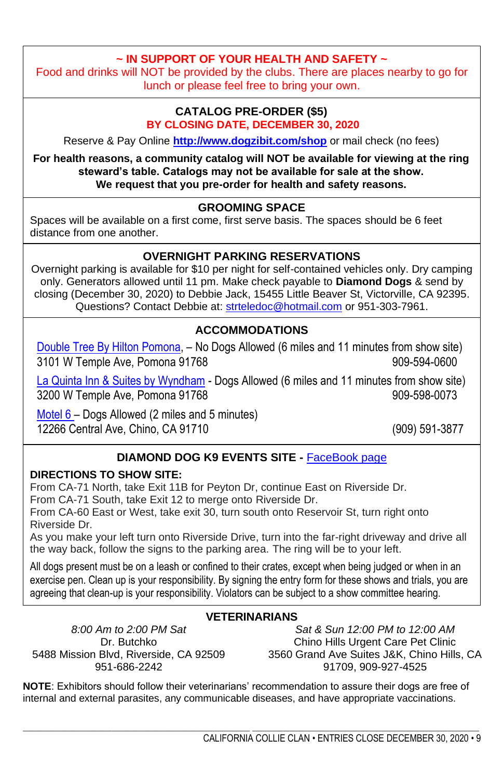# **~ IN SUPPORT OF YOUR HEALTH AND SAFETY ~**

Food and drinks will NOT be provided by the clubs. There are places nearby to go for lunch or please feel free to bring your own.

### **CATALOG PRE-ORDER (\$5) BY CLOSING DATE, DECEMBER 30, 2020**

Reserve & Pay Online **<http://www.dogzibit.com/shop>** or mail check (no fees)

**For health reasons, a community catalog will NOT be available for viewing at the ring steward's table. Catalogs may not be available for sale at the show. We request that you pre-order for health and safety reasons.**

### **GROOMING SPACE**

Spaces will be available on a first come, first serve basis. The spaces should be 6 feet distance from one another.

# **OVERNIGHT PARKING RESERVATIONS**

Overnight parking is available for \$10 per night for self-contained vehicles only. Dry camping only. Generators allowed until 11 pm. Make check payable to **Diamond Dogs** & send by closing (December 30, 2020) to Debbie Jack, 15455 Little Beaver St, Victorville, CA 92395. Questions? Contact Debbie at[: strteledoc@hotmail.com](mailto:strteledoc@hotmail.com) or 951-303-7961.

# **ACCOMMODATIONS**

[Double Tree By Hilton Pomona,](https://www.hilton.com/en/doubletree/) – No Dogs Allowed (6 miles and 11 minutes from show site) 3101 W Temple Ave, Pomona 91768 909-594-0600

La Quinta Inn [& Suites by Wyndham](https://www.wyndhamhotels.com/laquinta/pomona-california/la-quinta-pomona/overview?CID=LC:LQ::GGL:RIO:National:52817&iata=00093796) - Dogs Allowed (6 miles and 11 minutes from show site) 3200 W Temple Ave, Pomona 91768 909-598-0073

[Motel 6](https://www.motel6.com/en/motels.ca.chino.1017.html?lid=Local_Milestone_1017&travelAgentNumber=TA001305&corporatePlusNumber=CP792N5W&utm_source=google%20my%20business&utm_medium=listing&utm_campaign=visit%20website) – Dogs Allowed (2 miles and 5 minutes) 12266 Central Ave, Chino, CA 91710 [\(909\) 591-3877](tel:+19095913877)

# **DIAMOND DOG K9 EVENTS SITE -** [FaceBook page](https://m.facebook.com/Diamond-Dogs-K9-Events-1144719635545040/)

### **DIRECTIONS TO SHOW SITE:**

From CA-71 North, take Exit 11B for Peyton Dr, continue East on Riverside Dr. From CA-71 South, take Exit 12 to merge onto Riverside Dr. From CA-60 East or West, take exit 30, turn south onto Reservoir St, turn right onto

Riverside Dr.

As you make your left turn onto Riverside Drive, turn into the far-right driveway and drive all the way back, follow the signs to the parking area. The ring will be to your left.

All dogs present must be on a leash or confined to their crates, except when being judged or when in an exercise pen. Clean up is your responsibility. By signing the entry form for these shows and trials, you are agreeing that clean-up is your responsibility. Violators can be subject to a show committee hearing.

# **VETERINARIANS**

*8:00 Am to 2:00 PM Sat* Dr. Butchko 951-686-2242

5488 Mission Blvd, Riverside, CA 92509 3560 Grand Ave Suites J&K, Chino Hills, CA *Sat & Sun 12:00 PM to 12:00 AM* Chino Hills Urgent Care Pet Clinic 91709, 909-927-4525

**NOTE**: Exhibitors should follow their veterinarians' recommendation to assure their dogs are free of internal and external parasites, any communicable diseases, and have appropriate vaccinations.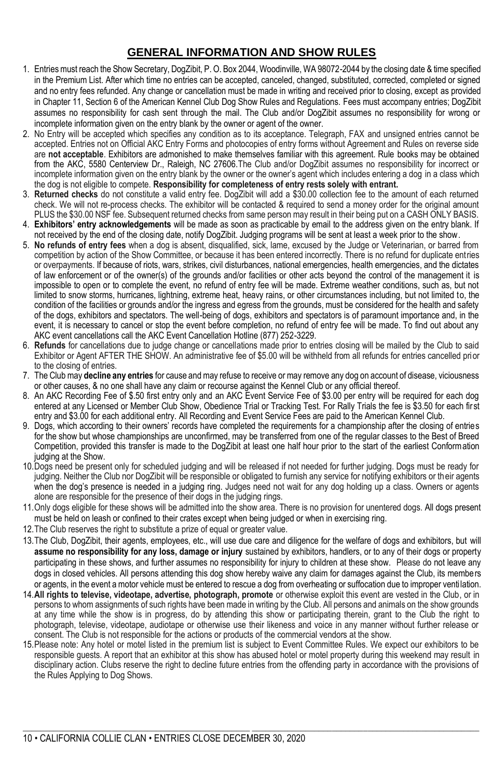# **GENERAL INFORMATION AND SHOW RULES**

- 1. Entries must reach the Show Secretary, DogZibit, P. O. Box 2044, Woodinville, WA 98072-2044 by the closing date & time specified in the Premium List. After which time no entries can be accepted, canceled, changed, substituted, corrected, completed or signed and no entry fees refunded. Any change or cancellation must be made in writing and received prior to closing, except as provided in Chapter 11, Section 6 of the American Kennel Club Dog Show Rules and Regulations. Fees must accompany entries; DogZibit assumes no responsibility for cash sent through the mail. The Club and/or DogZibit assumes no responsibility for wrong or incomplete information given on the entry blank by the owner or agent of the owner.
- 2. No Entry will be accepted which specifies any condition as to its acceptance. Telegraph, FAX and unsigned entries cannot be accepted. Entries not on Official AKC Entry Forms and photocopies of entry forms without Agreement and Rules on reverse side are **not acceptable**. Exhibitors are admonished to make themselves familiar with this agreement. Rule books may be obtained from the AKC, 5580 Centerview Dr., Raleigh, NC 27606.The Club and/or DogZibit assumes no responsibility for incorrect or incomplete information given on the entry blank by the owner or the owner's agent which includes entering a dog in a class which the dog is not eligible to compete. **Responsibility for completeness of entry rests solely with entrant.**
- 3. **Returned checks** do not constitute a valid entry fee. DogZibit will add a \$30.00 collection fee to the amount of each returned check. We will not re-process checks. The exhibitor will be contacted & required to send a money order for the original amount PLUS the \$30.00 NSF fee. Subsequent returned checks from same person may result in their being put on a CASH ONLY BASIS.
- 4. **Exhibitors' entry acknowledgements** will be made as soon as practicable by email to the address given on the entry blank. If not received by the end of the closing date, notify DogZibit. Judging programs will be sent at least a week prior to the show.
- 5. **No refunds of entry fees** when a dog is absent, disqualified, sick, lame, excused by the Judge or Veterinarian, or barred from competition by action of the Show Committee, or because it has been entered incorrectly. There is no refund for duplicate entries or overpayments. If because of riots, wars, strikes, civil disturbances, national emergencies, health emergencies, and the dictates of law enforcement or of the owner(s) of the grounds and/or facilities or other acts beyond the control of the management it is impossible to open or to complete the event, no refund of entry fee will be made. Extreme weather conditions, such as, but not limited to snow storms, hurricanes, lightning, extreme heat, heavy rains, or other circumstances including, but not limited to, the condition of the facilities or grounds and/or the ingress and egress from the grounds, must be considered for the health and safety of the dogs, exhibitors and spectators. The well-being of dogs, exhibitors and spectators is of paramount importance and, in the event, it is necessary to cancel or stop the event before completion, no refund of entry fee will be made. To find out about any AKC event cancellations call the AKC Event Cancellation Hotline (877) 252-3229.
- 6. **Refunds** for cancellations due to judge change or cancellations made prior to entries closing will be mailed by the Club to said Exhibitor or Agent AFTER THE SHOW. An administrative fee of \$5.00 will be withheld from all refunds for entries cancelled prior to the closing of entries.
- 7. The Club may **decline any entries** for cause and may refuse to receive or may remove any dog on account of disease, viciousness or other causes, & no one shall have any claim or recourse against the Kennel Club or any official thereof.
- 8. An AKC Recording Fee of \$.50 first entry only and an AKC Event Service Fee of \$3.00 per entry will be required for each dog entered at any Licensed or Member Club Show, Obedience Trial or Tracking Test. For Rally Trials the fee is \$3.50 for each first entry and \$3.00 for each additional entry. All Recording and Event Service Fees are paid to the American Kennel Club.
- 9. Dogs, which according to their owners' records have completed the requirements for a championship after the closing of entries for the show but whose championships are unconfirmed, may be transferred from one of the regular classes to the Best of Breed Competition, provided this transfer is made to the DogZibit at least one half hour prior to the start of the earliest Conformation judging at the Show.
- 10.Dogs need be present only for scheduled judging and will be released if not needed for further judging. Dogs must be ready for judging. Neither the Club nor DogZibit will be responsible or obligated to furnish any service for notifying exhibitors or their agents when the dog's presence is needed in a judging ring. Judges need not wait for any dog holding up a class. Owners or agents alone are responsible for the presence of their dogs in the judging rings.
- 11.Only dogs eligible for these shows will be admitted into the show area. There is no provision for unentered dogs. All dogs present must be held on leash or confined to their crates except when being judged or when in exercising ring.
- 12. The Club reserves the right to substitute a prize of equal or greater value.
- 13.The Club, DogZibit, their agents, employees, etc., will use due care and diligence for the welfare of dogs and exhibitors, but will **assume no responsibility for any loss, damage or injury** sustained by exhibitors, handlers, or to any of their dogs or property participating in these shows, and further assumes no responsibility for injury to children at these show. Please do not leave any dogs in closed vehicles. All persons attending this dog show hereby waive any claim for damages against the Club, its members or agents, in the event a motor vehicle must be entered to rescue a dog from overheating or suffocation due to improper ventilation.
- 14.**All rights to televise, videotape, advertise, photograph, promote** or otherwise exploit this event are vested in the Club, or in persons to whom assignments of such rights have been made in writing by the Club. All persons and animals on the show grounds at any time while the show is in progress, do by attending this show or participating therein, grant to the Club the right to photograph, televise, videotape, audiotape or otherwise use their likeness and voice in any manner without further release or consent. The Club is not responsible for the actions or products of the commercial vendors at the show.
- 15.Please note: Any hotel or motel listed in the premium list is subject to Event Committee Rules. We expect our exhibitors to be responsible guests. A report that an exhibitor at this show has abused hotel or motel property during this weekend may result in disciplinary action. Clubs reserve the right to decline future entries from the offending party in accordance with the provisions of the Rules Applying to Dog Shows.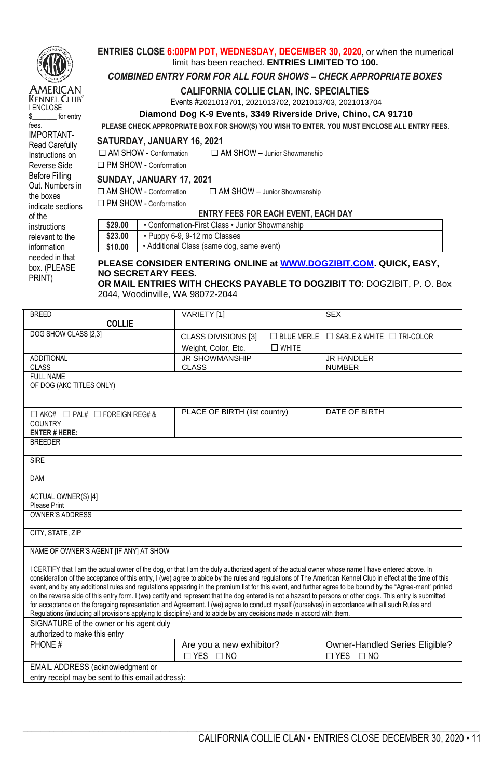

DAM

ACTUAL OWNER(S) [4] Please Print OWNER'S ADDRESS CITY, STATE, ZIP

NAME OF OWNER'S AGENT [IF ANY] AT SHOW

SIGNATURE of the owner or his agent duly authorized to make this entry

EMAIL ADDRESS (acknowledgment or entry receipt may be sent to this email address): ☐ YES ☐ NO

Owner-Handled Series Eligible?

\_\_\_\_\_\_\_\_\_\_\_\_\_\_\_\_\_\_\_\_\_\_\_\_\_\_\_\_\_\_\_\_\_\_\_\_\_\_\_\_\_\_\_\_\_\_\_\_\_\_\_ \_\_\_\_\_\_\_\_\_\_\_\_\_\_\_\_\_\_\_\_\_\_\_\_\_\_\_\_\_\_\_\_\_\_\_\_\_\_\_\_\_\_\_\_\_\_\_\_\_\_\_

I CERTIFY that I am the actual owner of the dog, or that I am the duly authorized agent of the actual owner whose name I have entered above. In consideration of the acceptance of this entry, I (we) agree to abide by the rules and regulations of The American Kennel Club in effect at the time of this event, and by any additional rules and regulations appearing in the premium list for this event, and further agree to be bound by the "Agree-ment" printed on the reverse side of this entry form. I (we) certify and represent that the dog entered is not a hazard to persons or other dogs. This entry is submitted for acceptance on the foregoing representation and Agreement. I (we) agree to conduct myself (ourselves) in accordance with all such Rules and

Regulations (including all provisions applying to discipline) and to abide by any decisions made in accord with them.

☐ YES ☐ NO

PHONE # PHONE # Are you a new exhibitor?